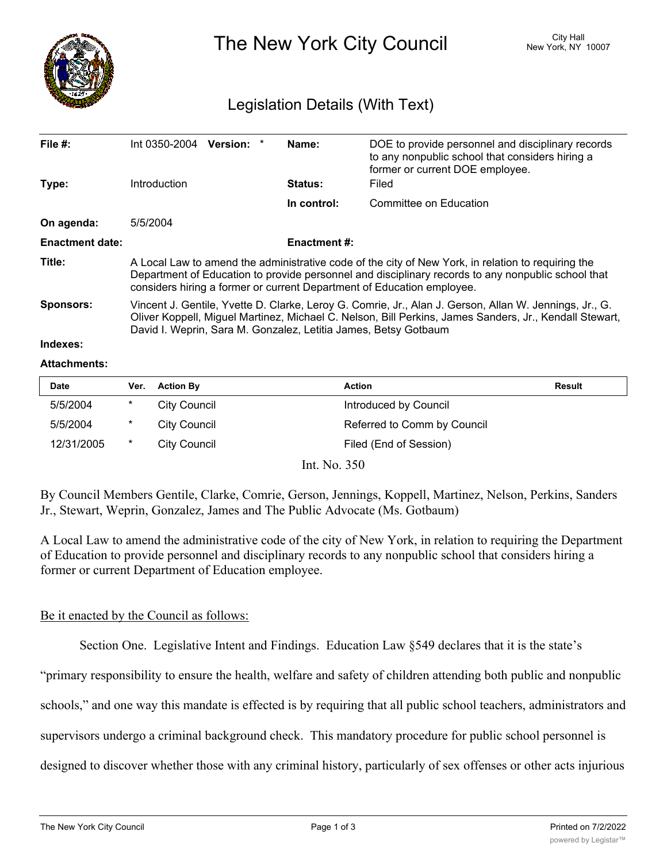

The New York City Council New York, NY 10007

## Legislation Details (With Text)

| File $#$ :             | $Int 0350-2004$ Version: *                                                                                                                                                                                                                                                          |  |  | Name:          | DOE to provide personnel and disciplinary records<br>to any nonpublic school that considers hiring a<br>former or current DOE employee. |  |
|------------------------|-------------------------------------------------------------------------------------------------------------------------------------------------------------------------------------------------------------------------------------------------------------------------------------|--|--|----------------|-----------------------------------------------------------------------------------------------------------------------------------------|--|
| Type:                  | Introduction                                                                                                                                                                                                                                                                        |  |  | <b>Status:</b> | Filed                                                                                                                                   |  |
|                        |                                                                                                                                                                                                                                                                                     |  |  | In control:    | Committee on Education                                                                                                                  |  |
| On agenda:             | 5/5/2004                                                                                                                                                                                                                                                                            |  |  |                |                                                                                                                                         |  |
| <b>Enactment date:</b> | Enactment #:                                                                                                                                                                                                                                                                        |  |  |                |                                                                                                                                         |  |
| Title:                 | A Local Law to amend the administrative code of the city of New York, in relation to requiring the<br>Department of Education to provide personnel and disciplinary records to any nonpublic school that<br>considers hiring a former or current Department of Education employee.  |  |  |                |                                                                                                                                         |  |
| <b>Sponsors:</b>       | Vincent J. Gentile, Yvette D. Clarke, Leroy G. Comrie, Jr., Alan J. Gerson, Allan W. Jennings, Jr., G.<br>Oliver Koppell, Miguel Martinez, Michael C. Nelson, Bill Perkins, James Sanders, Jr., Kendall Stewart,<br>David I. Weprin, Sara M. Gonzalez, Letitia James, Betsy Gotbaum |  |  |                |                                                                                                                                         |  |
| Indexes:               |                                                                                                                                                                                                                                                                                     |  |  |                |                                                                                                                                         |  |

## **Attachments:**

| <b>Date</b> | Ver.   | <b>Action By</b> | <b>Action</b>               | Result |
|-------------|--------|------------------|-----------------------------|--------|
| 5/5/2004    | *      | City Council     | Introduced by Council       |        |
| 5/5/2004    | $\ast$ | City Council     | Referred to Comm by Council |        |
| 12/31/2005  | $\ast$ | City Council     | Filed (End of Session)      |        |

Int. No. 350

By Council Members Gentile, Clarke, Comrie, Gerson, Jennings, Koppell, Martinez, Nelson, Perkins, Sanders Jr., Stewart, Weprin, Gonzalez, James and The Public Advocate (Ms. Gotbaum)

A Local Law to amend the administrative code of the city of New York, in relation to requiring the Department of Education to provide personnel and disciplinary records to any nonpublic school that considers hiring a former or current Department of Education employee.

## Be it enacted by the Council as follows:

Section One. Legislative Intent and Findings. Education Law §549 declares that it is the state's

"primary responsibility to ensure the health, welfare and safety of children attending both public and nonpublic

schools," and one way this mandate is effected is by requiring that all public school teachers, administrators and

supervisors undergo a criminal background check. This mandatory procedure for public school personnel is

designed to discover whether those with any criminal history, particularly of sex offenses or other acts injurious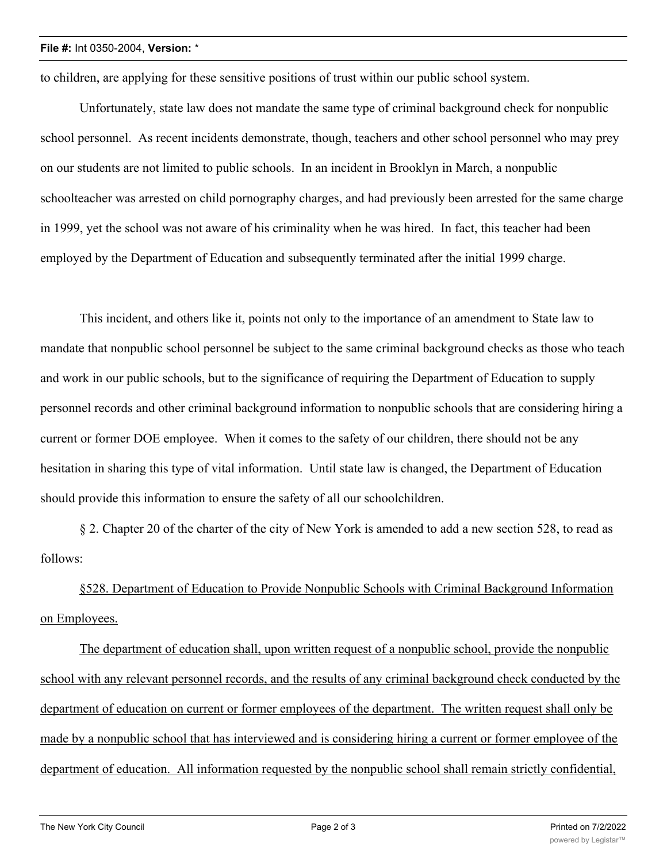## **File #:** Int 0350-2004, **Version:** \*

to children, are applying for these sensitive positions of trust within our public school system.

Unfortunately, state law does not mandate the same type of criminal background check for nonpublic school personnel. As recent incidents demonstrate, though, teachers and other school personnel who may prey on our students are not limited to public schools. In an incident in Brooklyn in March, a nonpublic schoolteacher was arrested on child pornography charges, and had previously been arrested for the same charge in 1999, yet the school was not aware of his criminality when he was hired. In fact, this teacher had been employed by the Department of Education and subsequently terminated after the initial 1999 charge.

This incident, and others like it, points not only to the importance of an amendment to State law to mandate that nonpublic school personnel be subject to the same criminal background checks as those who teach and work in our public schools, but to the significance of requiring the Department of Education to supply personnel records and other criminal background information to nonpublic schools that are considering hiring a current or former DOE employee. When it comes to the safety of our children, there should not be any hesitation in sharing this type of vital information. Until state law is changed, the Department of Education should provide this information to ensure the safety of all our schoolchildren.

§ 2. Chapter 20 of the charter of the city of New York is amended to add a new section 528, to read as follows:

§528. Department of Education to Provide Nonpublic Schools with Criminal Background Information on Employees.

The department of education shall, upon written request of a nonpublic school, provide the nonpublic school with any relevant personnel records, and the results of any criminal background check conducted by the department of education on current or former employees of the department. The written request shall only be made by a nonpublic school that has interviewed and is considering hiring a current or former employee of the department of education. All information requested by the nonpublic school shall remain strictly confidential,